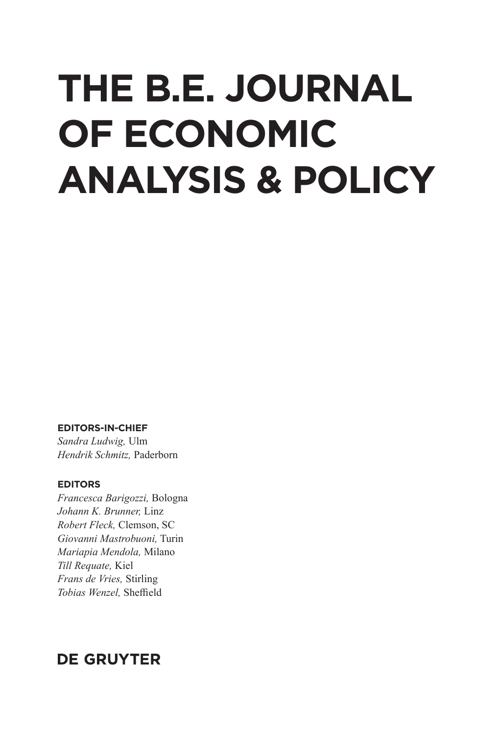# **THE B.E. JOURNAL OF ECONOMIC ANALYSIS & POLICY**

#### **EDITORS-IN-CHIEF**

*Sandra Ludwig,* Ulm *Hendrik Schmitz,* Paderborn

#### **EDITORS**

*Francesca Barigozzi,* Bologna *Johann K. Brunner,* Linz *Robert Fleck,* Clemson, SC *Giovanni Mastrobuoni,* Turin *Mariapia Mendola,* Milano *Till Requate,* Kiel *Frans de Vries,* Stirling **Tobias Wenzel**, Sheffield

## **DE GRUYTER**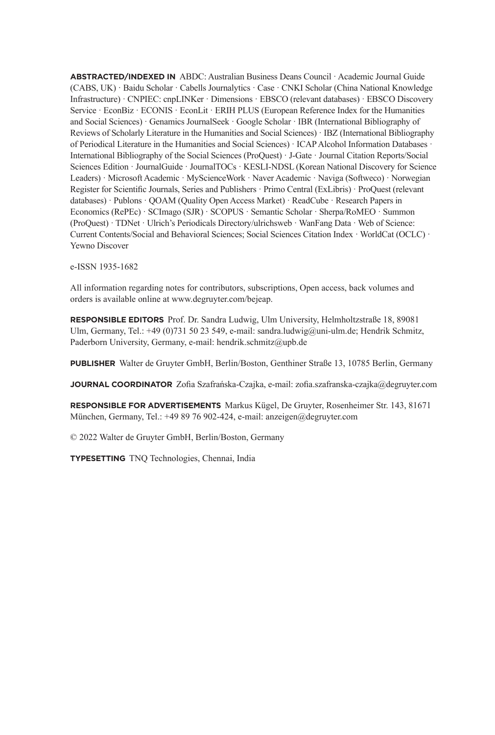**ABSTRACTED/INDEXED IN** ABDC: Australian Business Deans Council · Academic Journal Guide (CABS, UK) · Baidu Scholar · Cabells Journalytics · Case · CNKI Scholar (China National Knowledge Infrastructure) · CNPIEC: cnpLINKer · Dimensions · EBSCO (relevant databases) · EBSCO Discovery Service · EconBiz · ECONIS · EconLit · ERIH PLUS (European Reference Index for the Humanities and Social Sciences) · Genamics JournalSeek · Google Scholar · IBR (International Bibliography of Reviews of Scholarly Literature in the Humanities and Social Sciences) · IBZ (International Bibliography of Periodical Literature in the Humanities and Social Sciences) · ICAP Alcohol Information Databases · International Bibliography of the Social Sciences (ProQuest) · J-Gate · Journal Citation Reports/Social Sciences Edition · JournalGuide · JournalTOCs · KESLI-NDSL (Korean National Discovery for Science Leaders) · Microsoft Academic · MyScienceWork · Naver Academic · Naviga (Softweco) · Norwegian Register for Scientific Journals, Series and Publishers · Primo Central (ExLibris) · ProQuest (relevant databases) · Publons · QOAM (Quality Open Access Market) · ReadCube · Research Papers in Economics (RePEc) · SCImago (SJR) · SCOPUS · Semantic Scholar · Sherpa/RoMEO · Summon (ProQuest) · TDNet · Ulrich's Periodicals Directory/ulrichsweb · WanFang Data · Web of Science: Current Contents/Social and Behavioral Sciences; Social Sciences Citation Index · WorldCat (OCLC) · Yewno Discover

e-ISSN 1935-1682

All information regarding notes for contributors, subscriptions, Open access, back volumes and orders is available online at www.degruyter.com/bejeap.

**RESPONSIBLE EDITORS** Prof. Dr. Sandra Ludwig, Ulm University, Helmholtzstraße 18, 89081 Ulm, Germany, Tel.: +49 (0)731 50 23 549, e-mail: sandra.ludwig@uni-ulm.de; Hendrik Schmitz, Paderborn University, Germany, e-mail: hendrik.schmitz@upb.de

**PUBLISHER** Walter de Gruyter GmbH, Berlin/Boston, Genthiner Straße 13, 10785 Berlin, Germany

**JOURNAL COORDINATOR** Zofia Szafrańska-Czajka, e-mail: zofia.szafranska-czajka@degruyter.com

**RESPONSIBLE FOR ADVERTISEMENTS** Markus Kügel, De Gruyter, Rosenheimer Str. 143, 81671 München, Germany, Tel.: +49 89 76 902-424, e-mail: anzeigen@degruyter.com

© 2022 Walter de Gruyter GmbH, Berlin/Boston, Germany

**TYPESETTING** TNQ Technologies, Chennai, India